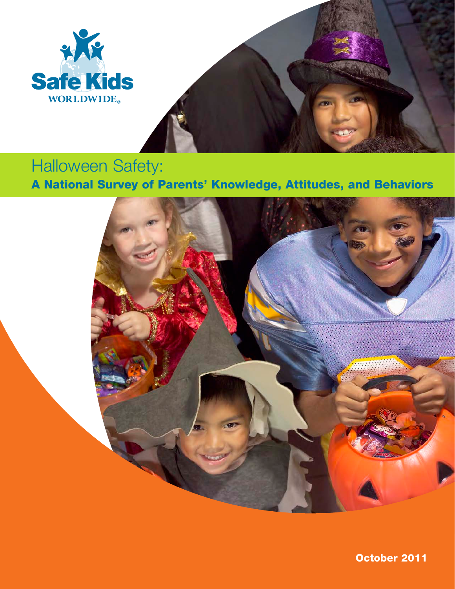

# Halloween Safety: A National Survey of Parents' Knowledge, Attitudes, and Behaviors



October 2011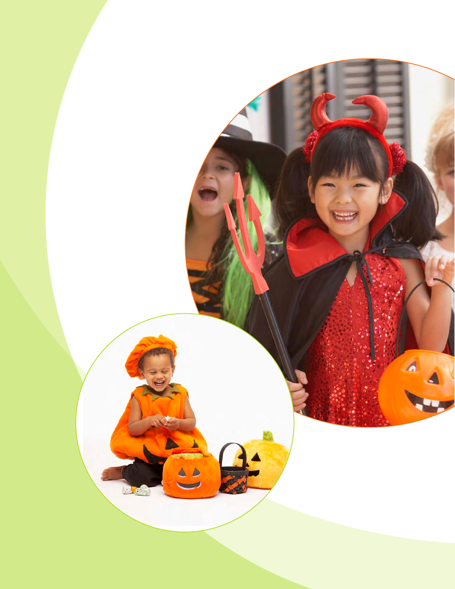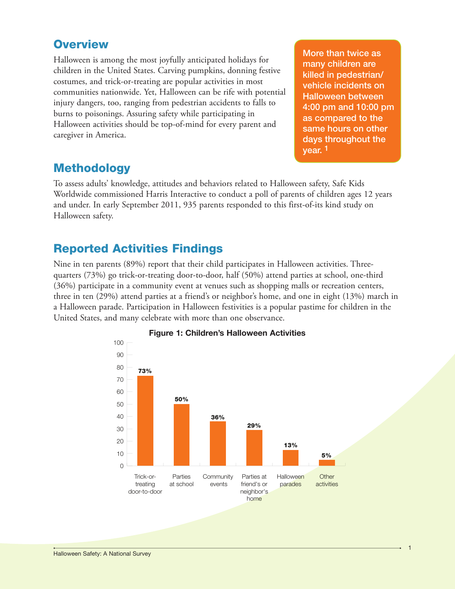### **Overview**

Halloween is among the most joyfully anticipated holidays for children in the United States. Carving pumpkins, donning festive costumes, and trick-or-treating are popular activities in most communities nationwide. Yet, Halloween can be rife with potential injury dangers, too, ranging from pedestrian accidents to falls to burns to poisonings. Assuring safety while participating in Halloween activities should be top-of-mind for every parent and caregiver in America.

More than twice as many children are killed in pedestrian/ vehicle incidents on Halloween between 4:00 pm and 10:00 pm as compared to the same hours on other days throughout the year. 1

# Methodology

To assess adults' knowledge, attitudes and behaviors related to Halloween safety, Safe Kids Worldwide commissioned Harris Interactive to conduct a poll of parents of children ages 12 years and under. In early September 2011, 935 parents responded to this first-of-its kind study on Halloween safety.

# Reported Activities Findings

Nine in ten parents (89%) report that their child participates in Halloween activities. Threequarters (73%) go trick-or-treating door-to-door, half (50%) attend parties at school, one-third (36%) participate in a community event at venues such as shopping malls or recreation centers, three in ten (29%) attend parties at a friend's or neighbor's home, and one in eight (13%) march in a Halloween parade. Participation in Halloween festivities is a popular pastime for children in the United States, and many celebrate with more than one observance.



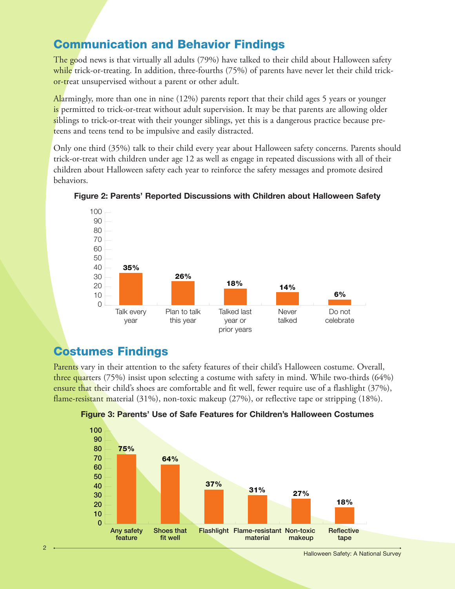### Communication and Behavior Findings

The good news is that virtually all adults (79%) have talked to their child about Halloween safety while trick-or-treating. In addition, three-fourths (75%) of parents have never let their child trickor-treat unsupervised without a parent or other adult.

Alarmingly, more than one in nine  $(12%)$  parents report that their child ages 5 years or younger is permitted to trick-or-treat without adult supervision. It may be that parents are allowing older siblings to trick-or-treat with their younger siblings, yet this is a dangerous practice because preteens and teens tend to be impulsive and easily distracted.

Only one third (35%) talk to their child every year about Halloween safety concerns. Parents should trick-or-treat with children under age 12 as well as engage in repeated discussions with all of their children about Halloween safety each year to reinforce the safety messages and promote desired behaviors.



#### **Figure 2: Parents' Reported Discussions with Children about Halloween Safety**

### Costumes Findings

Parents vary in their attention to the safety features of their child's Halloween costume. Overall, three quarters (75%) insist upon selecting a costume with safety in mind. While two-thirds (64%) ensure that their child's shoes are comfortable and fit well, fewer require use of a flashlight (37%), flame-resistant material  $(31\%)$ , non-toxic makeup  $(27\%)$ , or reflective tape or stripping  $(18\%)$ .





Halloween Safety: A National Survey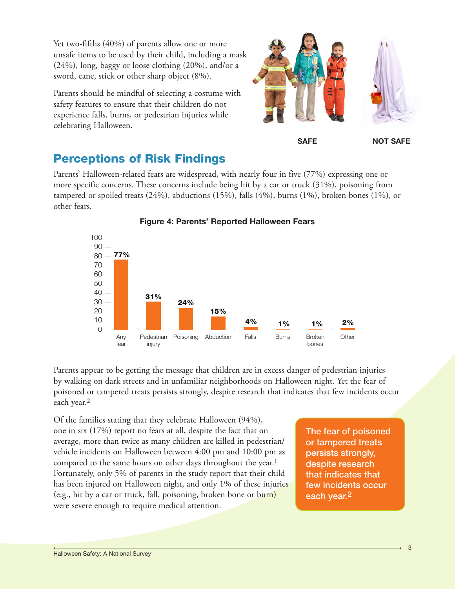Yet two-fifths (40%) of parents allow one or more unsafe items to be used by their child, including a mask (24%), long, baggy or loose clothing (20%), and/or a sword, cane, stick or other sharp object (8%).

Parents should be mindful of selecting a costume with safety features to ensure that their children do not experience falls, burns, or pedestrian injuries while celebrating Halloween.



**SAFE NOT SAFE**

# Perceptions of Risk Findings

Parents' Halloween-related fears are widespread, with nearly four in five (77%) expressing one or more specific concerns. These concerns include being hit by a car or truck (31%), poisoning from tampered or spoiled treats (24%), abductions (15%), falls (4%), burns (1%), broken bones (1%), or other fears.



**Figure 4: Parents' Reported Halloween Fears**

Parents appear to be getting the message that children are in excess danger of pedestrian injuries by walking on dark streets and in unfamiliar neighborhoods on Halloween night. Yet the fear of poisoned or tampered treats persists strongly, despite research that indicates that few incidents occur each year.2

Of the families stating that they celebrate Halloween (94%), one in six (17%) report no fears at all, despite the fact that on average, more than twice as many children are killed in pedestrian/ vehicle incidents on Halloween between 4:00 pm and 10:00 pm as compared to the same hours on other days throughout the year.<sup>1</sup> Fortunately, only 5% of parents in the study report that their child has been injured on Halloween night, and only 1% of these injuries (e.g., hit by a car or truck, fall, poisoning, broken bone or burn) were severe enough to require medical attention.

The fear of poisoned or tampered treats persists strongly, despite research that indicates that few incidents occur each year.<sup>2</sup>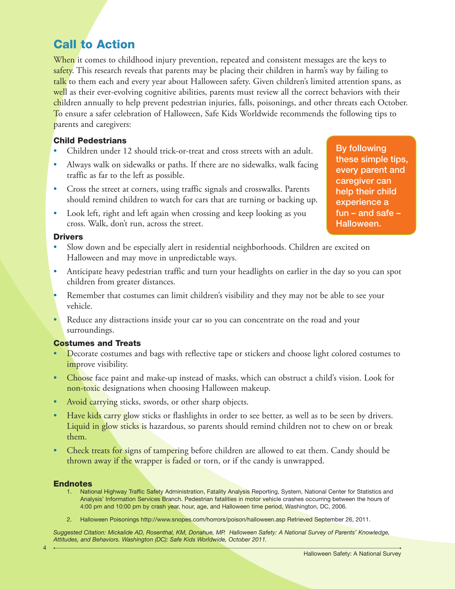### Call to Action

When it comes to childhood injury prevention, repeated and consistent messages are the keys to safety. This research reveals that parents may be placing their children in harm's way by failing to talk to them each and every year about Halloween safety. Given children's limited attention spans, as well as their ever-evolving cognitive abilities, parents must review all the correct behaviors with their children annually to help prevent pedestrian injuries, falls, poisonings, and other threats each October. To ensure a safer celebration of Halloween, Safe Kids Worldwide recommends the following tips to parents and caregivers:

#### Child Pedestrians

- Children under 12 should trick-or-treat and cross streets with an adult.
- Always walk on sidewalks or paths. If there are no sidewalks, walk facing traffic as far to the left as possible.
- Cross the street at corners, using traffic signals and crosswalks. Parents should remind children to watch for cars that are turning or backing up.
- Look left, right and left again when crossing and keep looking as you cross. Walk, don't run, across the street.

By following these simple tips, every parent and caregiver can help their child experience a fun – and safe – Halloween.

#### **Drivers**

- Slow down and be especially alert in residential neighborhoods. Children are excited on Halloween and may move in unpredictable ways.
- Anticipate heavy pedestrian traffic and turn your headlights on earlier in the day so you can spot children from greater distances.
- Remember that costumes can limit children's visibility and they may not be able to see your vehicle.
- Reduce any distractions inside your car so you can concentrate on the road and your surroundings.

#### Costumes and Treats

- Decorate costumes and bags with reflective tape or stickers and choose light colored costumes to improve visibility.
- Choose face paint and make-up instead of masks, which can obstruct a child's vision. Look for non-toxic designations when choosing Halloween makeup.
- Avoid carrying sticks, swords, or other sharp objects.
- Have kids carry glow sticks or flashlights in order to see better, as well as to be seen by drivers. Liquid in glow sticks is hazardous, so parents should remind children not to chew on or break them.
- Check treats for signs of tampering before children are allowed to eat them. Candy should be thrown away if the wrapper is faded or torn, or if the candy is unwrapped.

#### **Endnotes**

- 1. National Highway Traffic Safety Administration, Fatality Analysis Reporting, System, National Center for Statistics and Analysis' Information Services Branch. Pedestrian fatalities in motor vehicle crashes occurring between the hours of 4:00 pm and 10:00 pm by crash year, hour, age, and Halloween time period, Washington, DC, 2006.
- 2. Halloween Poisonings http://www.snopes.com/horrors/poison/halloween.asp Retrieved September 26, 2011.

*Suggested Citation: Mickalide AD, Rosenthal, KM, Donahue, MP. Halloween Safety: A National Survey of Parents' Knowledge, Attitudes, and Behaviors. Washington (DC): Safe Kids Worldwide, October 2011.*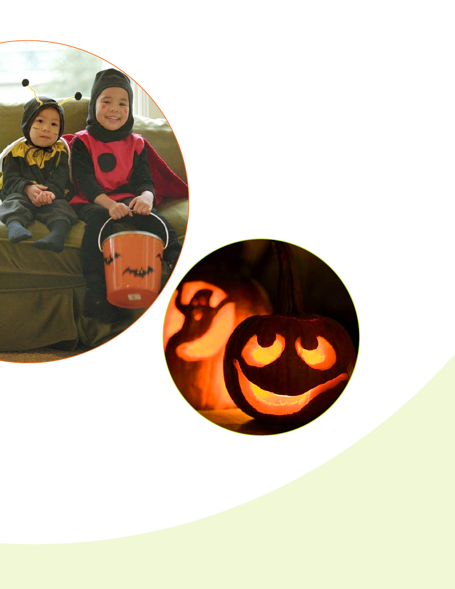